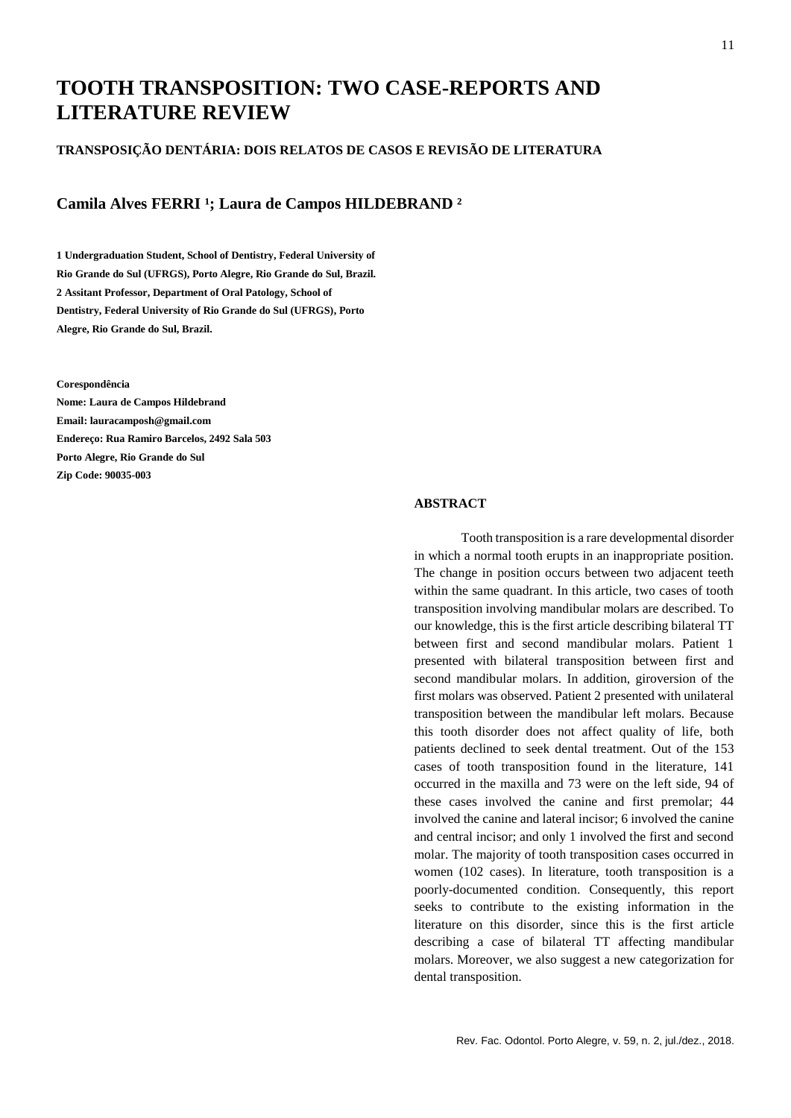# **TOOTH TRANSPOSITION: TWO CASE-REPORTS AND LITERATURE REVIEW**

#### **TRANSPOSIÇÃO DENTÁRIA: DOIS RELATOS DE CASOS E REVISÃO DE LITERATURA**

### Camila Alves FERRI<sup>1</sup>; Laura de Campos HILDEBRAND<sup>2</sup>

**1 Undergraduation Student, School of Dentistry, Federal University of Rio Grande do Sul (UFRGS), Porto Alegre, Rio Grande do Sul, Brazil. 2 Assitant Professor, Department of Oral Patology, School of Dentistry, Federal University of Rio Grande do Sul (UFRGS), Porto Alegre, Rio Grande do Sul, Brazil.**

**Corespondência**

**Nome: Laura de Campos Hildebrand Email: lauracamposh@gmail.com Endereço: Rua Ramiro Barcelos, 2492 Sala 503 Porto Alegre, Rio Grande do Sul Zip Code: 90035-003**

#### **ABSTRACT**

Tooth transposition is a rare developmental disorder in which a normal tooth erupts in an inappropriate position. The change in position occurs between two adjacent teeth within the same quadrant. In this article, two cases of tooth transposition involving mandibular molars are described. To our knowledge, this is the first article describing bilateral TT between first and second mandibular molars. Patient 1 presented with bilateral transposition between first and second mandibular molars. In addition, giroversion of the first molars was observed. Patient 2 presented with unilateral transposition between the mandibular left molars. Because this tooth disorder does not affect quality of life, both patients declined to seek dental treatment. Out of the 153 cases of tooth transposition found in the literature, 141 occurred in the maxilla and 73 were on the left side, 94 of these cases involved the canine and first premolar; 44 involved the canine and lateral incisor; 6 involved the canine and central incisor; and only 1 involved the first and second molar. The majority of tooth transposition cases occurred in women (102 cases). In literature, tooth transposition is a poorly-documented condition. Consequently, this report seeks to contribute to the existing information in the literature on this disorder, since this is the first article describing a case of bilateral TT affecting mandibular molars. Moreover, we also suggest a new categorization for dental transposition.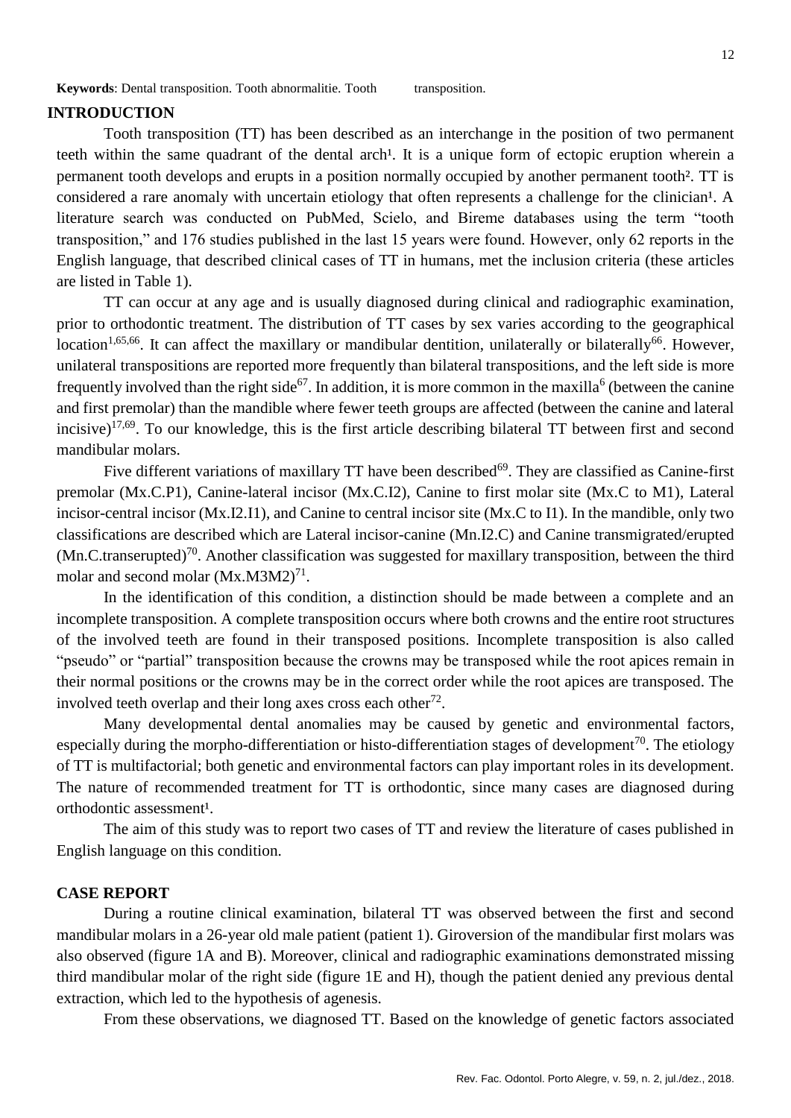# **INTRODUCTION**

Tooth transposition (TT) has been described as an interchange in the position of two permanent teeth within the same quadrant of the dental arch<sup>1</sup>. It is a unique form of ectopic eruption wherein a permanent tooth develops and erupts in a position normally occupied by another permanent tooth². TT is considered a rare anomaly with uncertain etiology that often represents a challenge for the clinician<sup>1</sup>. A literature search was conducted on PubMed, Scielo, and Bireme databases using the term "tooth transposition," and 176 studies published in the last 15 years were found. However, only 62 reports in the English language, that described clinical cases of TT in humans, met the inclusion criteria (these articles are listed in Table 1).

TT can occur at any age and is usually diagnosed during clinical and radiographic examination, prior to orthodontic treatment. The distribution of TT cases by sex varies according to the geographical location<sup>1,65,66</sup>. It can affect the maxillary or mandibular dentition, unilaterally or bilaterally<sup>66</sup>. However, unilateral transpositions are reported more frequently than bilateral transpositions, and the left side is more frequently involved than the right side<sup>67</sup>. In addition, it is more common in the maxilla<sup>6</sup> (between the canine and first premolar) than the mandible where fewer teeth groups are affected (between the canine and lateral incisive)<sup>17,69</sup>. To our knowledge, this is the first article describing bilateral TT between first and second mandibular molars.

Five different variations of maxillary TT have been described<sup>69</sup>. They are classified as Canine-first premolar (Mx.C.P1), Canine-lateral incisor (Mx.C.I2), Canine to first molar site (Mx.C to M1), Lateral incisor-central incisor (Mx.I2.I1), and Canine to central incisor site (Mx.C to I1). In the mandible, only two classifications are described which are Lateral incisor-canine (Mn.I2.C) and Canine transmigrated/erupted  $(Mn.C.transerved)<sup>70</sup>$ . Another classification was suggested for maxillary transposition, between the third molar and second molar  $(Mx.M3M2)^{71}$ .

In the identification of this condition, a distinction should be made between a complete and an incomplete transposition. A complete transposition occurs where both crowns and the entire root structures of the involved teeth are found in their transposed positions. Incomplete transposition is also called "pseudo" or "partial" transposition because the crowns may be transposed while the root apices remain in their normal positions or the crowns may be in the correct order while the root apices are transposed. The involved teeth overlap and their long axes cross each other $72$ .

Many developmental dental anomalies may be caused by genetic and environmental factors, especially during the morpho-differentiation or histo-differentiation stages of development<sup>70</sup>. The etiology of TT is multifactorial; both genetic and environmental factors can play important roles in its development. The nature of recommended treatment for TT is orthodontic, since many cases are diagnosed during orthodontic assessment<sup>1</sup>.

The aim of this study was to report two cases of TT and review the literature of cases published in English language on this condition.

# **CASE REPORT**

During a routine clinical examination, bilateral TT was observed between the first and second mandibular molars in a 26-year old male patient (patient 1). Giroversion of the mandibular first molars was also observed (figure 1A and B). Moreover, clinical and radiographic examinations demonstrated missing third mandibular molar of the right side (figure 1E and H), though the patient denied any previous dental extraction, which led to the hypothesis of agenesis.

From these observations, we diagnosed TT. Based on the knowledge of genetic factors associated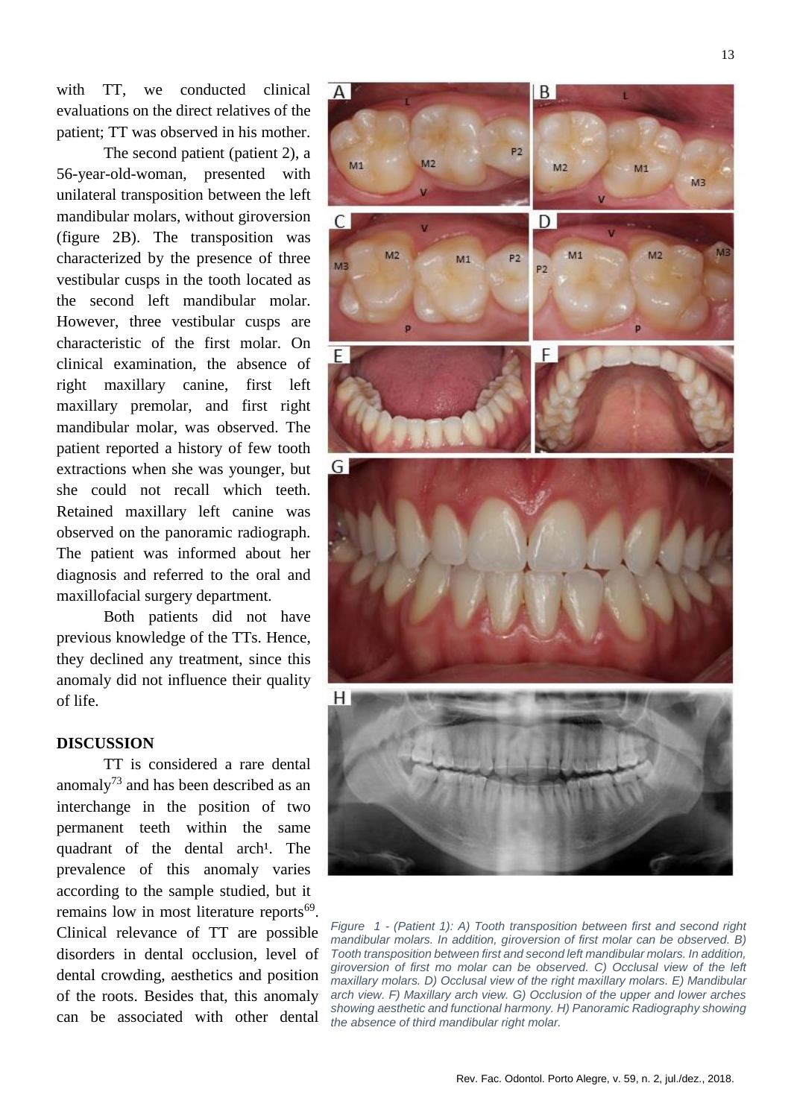with TT, we conducted clinical evaluations on the direct relatives of the patient; TT was observed in his mother.

The second patient (patient 2), a 56-year-old-woman, presented with unilateral transposition between the left mandibular molars, without giroversion (figure 2B). The transposition was characterized by the presence of three vestibular cusps in the tooth located as the second left mandibular molar. However, three vestibular cusps are characteristic of the first molar. On clinical examination, the absence of right maxillary canine, first left maxillary premolar, and first right mandibular molar, was observed. The patient reported a history of few tooth extractions when she was younger, but she could not recall which teeth. Retained maxillary left canine was observed on the panoramic radiograph. The patient was informed about her diagnosis and referred to the oral and maxillofacial surgery department.

Both patients did not have previous knowledge of the TTs. Hence, they declined any treatment, since this anomaly did not influence their quality of life.

## **DISCUSSION**

TT is considered a rare dental anomaly<sup>73</sup> and has been described as an interchange in the position of two permanent teeth within the same quadrant of the dental arch<sup>1</sup>. The prevalence of this anomaly varies according to the sample studied, but it remains low in most literature reports<sup>69</sup>. Clinical relevance of TT are possible disorders in dental occlusion, level of dental crowding, aesthetics and position of the roots. Besides that, this anomaly can be associated with other dental



*Figure 1 - (Patient 1): A) Tooth transposition between first and second right mandibular molars. In addition, giroversion of first molar can be observed. B) Tooth transposition between first and second left mandibular molars. In addition, giroversion of first mo molar can be observed. C) Occlusal view of the left maxillary molars. D) Occlusal view of the right maxillary molars. E) Mandibular arch view. F) Maxillary arch view. G) Occlusion of the upper and lower arches showing aesthetic and functional harmony. H) Panoramic Radiography showing the absence of third mandibular right molar.*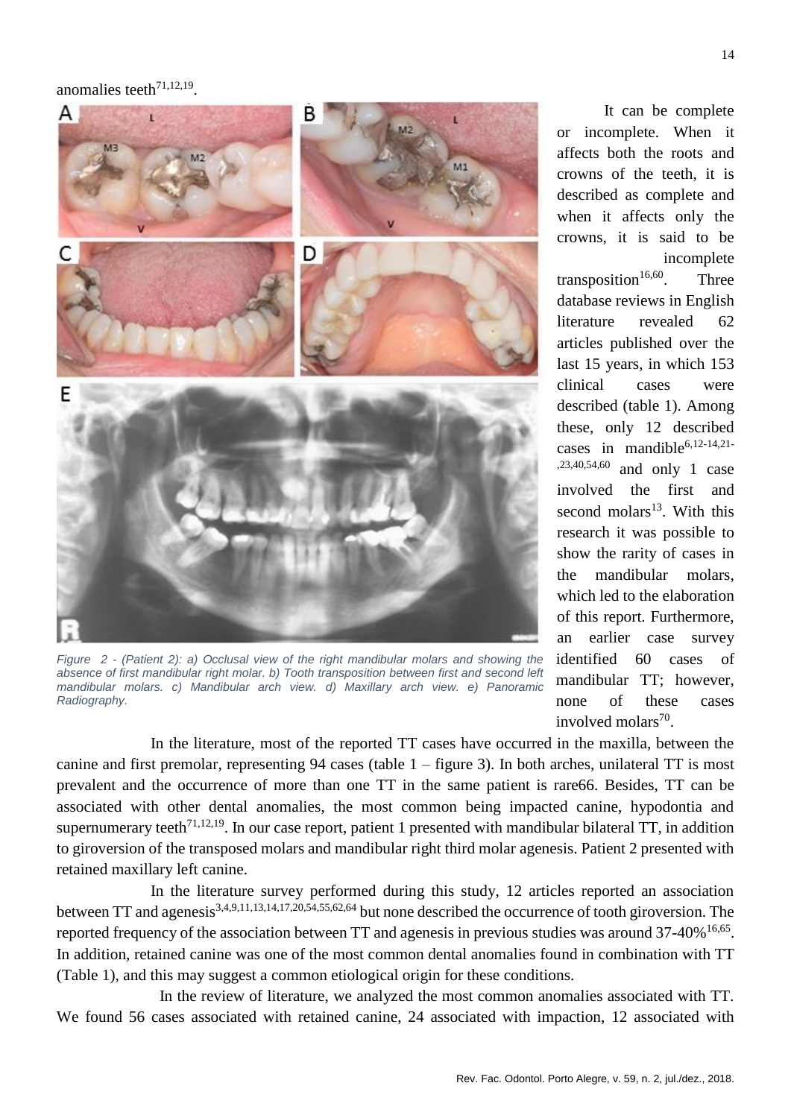anomalies teeth $71,12,19$ .



*Figure 2 - (Patient 2): a) Occlusal view of the right mandibular molars and showing the absence of first mandibular right molar. b) Tooth transposition between first and second left mandibular molars. c) Mandibular arch view. d) Maxillary arch view. e) Panoramic Radiography.*

It can be complete or incomplete. When it affects both the roots and crowns of the teeth, it is described as complete and when it affects only the crowns, it is said to be incomplete transposition<sup>16,60</sup>. Three database reviews in English literature revealed 62 articles published over the last 15 years, in which 153 clinical cases were described (table 1). Among these, only 12 described cases in mandible<sup>6,12-14,21-</sup> ,23,40,54,60 and only 1 case involved the first and second molars<sup>13</sup>. With this research it was possible to show the rarity of cases in the mandibular molars, which led to the elaboration of this report. Furthermore, an earlier case survey identified 60 cases of mandibular TT; however, none of these cases involved molars<sup>70</sup>.

In the literature, most of the reported TT cases have occurred in the maxilla, between the canine and first premolar, representing 94 cases (table 1 – figure 3). In both arches, unilateral TT is most prevalent and the occurrence of more than one TT in the same patient is rare66. Besides, TT can be associated with other dental anomalies, the most common being impacted canine, hypodontia and supernumerary teeth<sup>71,12,19</sup>. In our case report, patient 1 presented with mandibular bilateral TT, in addition to giroversion of the transposed molars and mandibular right third molar agenesis. Patient 2 presented with retained maxillary left canine.

In the literature survey performed during this study, 12 articles reported an association between TT and agenesis3,4,9,11,13,14,17,20,54,55,62,64 but none described the occurrence of tooth giroversion. The reported frequency of the association between TT and agenesis in previous studies was around  $37-40\%$ <sup>16,65</sup>. In addition, retained canine was one of the most common dental anomalies found in combination with TT (Table 1), and this may suggest a common etiological origin for these conditions.

 In the review of literature, we analyzed the most common anomalies associated with TT. We found 56 cases associated with retained canine, 24 associated with impaction, 12 associated with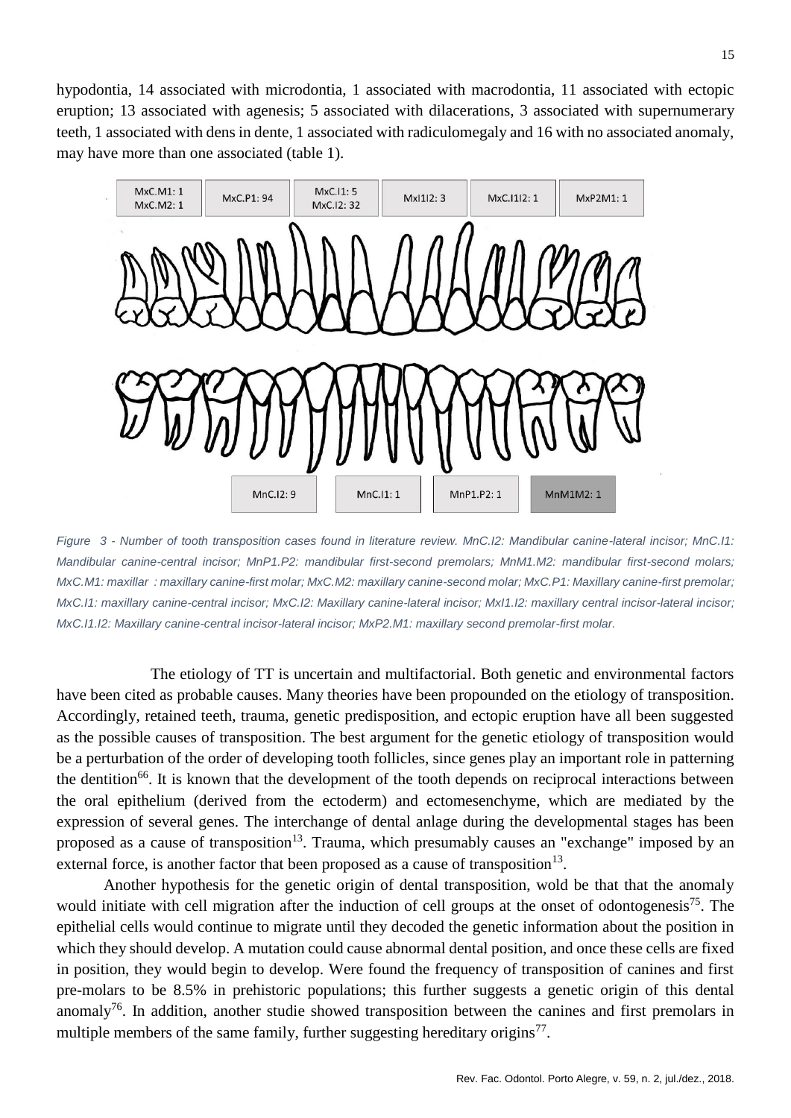hypodontia, 14 associated with microdontia, 1 associated with macrodontia, 11 associated with ectopic eruption; 13 associated with agenesis; 5 associated with dilacerations, 3 associated with supernumerary teeth, 1 associated with dens in dente, 1 associated with radiculomegaly and 16 with no associated anomaly, may have more than one associated (table 1).



*Figure 3 - Number of tooth transposition cases found in literature review. MnC.I2: Mandibular canine-lateral incisor; MnC.I1: Mandibular canine-central incisor; MnP1.P2: mandibular first-second premolars; MnM1.M2: mandibular first-second molars; MxC.M1: maxillar : maxillary canine-first molar; MxC.M2: maxillary canine-second molar; MxC.P1: Maxillary canine-first premolar; MxC.I1: maxillary canine-central incisor; MxC.I2: Maxillary canine-lateral incisor; MxI1.I2: maxillary central incisor-lateral incisor; MxC.I1.I2: Maxillary canine-central incisor-lateral incisor; MxP2.M1: maxillary second premolar-first molar.* 

The etiology of TT is uncertain and multifactorial. Both genetic and environmental factors have been cited as probable causes. Many theories have been propounded on the etiology of transposition. Accordingly, retained teeth, trauma, genetic predisposition, and ectopic eruption have all been suggested as the possible causes of transposition. The best argument for the genetic etiology of transposition would be a perturbation of the order of developing tooth follicles, since genes play an important role in patterning the dentition<sup>66</sup>. It is known that the development of the tooth depends on reciprocal interactions between the oral epithelium (derived from the ectoderm) and ectomesenchyme, which are mediated by the expression of several genes. The interchange of dental anlage during the developmental stages has been proposed as a cause of transposition<sup>13</sup>. Trauma, which presumably causes an "exchange" imposed by an external force, is another factor that been proposed as a cause of transposition<sup>13</sup>.

Another hypothesis for the genetic origin of dental transposition, wold be that that the anomaly would initiate with cell migration after the induction of cell groups at the onset of odontogenesis<sup>75</sup>. The epithelial cells would continue to migrate until they decoded the genetic information about the position in which they should develop. A mutation could cause abnormal dental position, and once these cells are fixed in position, they would begin to develop. Were found the frequency of transposition of canines and first pre-molars to be 8.5% in prehistoric populations; this further suggests a genetic origin of this dental anomaly<sup>76</sup>. In addition, another studie showed transposition between the canines and first premolars in multiple members of the same family, further suggesting hereditary origins<sup>77</sup>.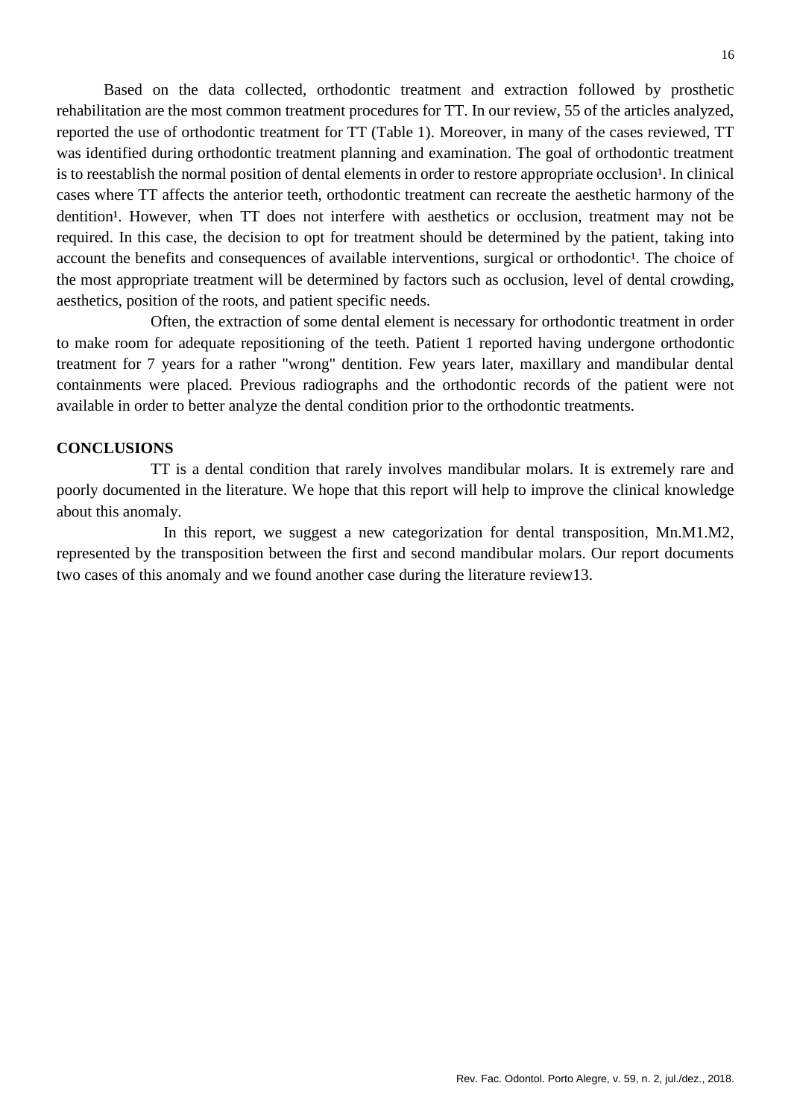Based on the data collected, orthodontic treatment and extraction followed by prosthetic rehabilitation are the most common treatment procedures for TT. In our review, 55 of the articles analyzed, reported the use of orthodontic treatment for TT (Table 1). Moreover, in many of the cases reviewed, TT was identified during orthodontic treatment planning and examination. The goal of orthodontic treatment is to reestablish the normal position of dental elements in order to restore appropriate occlusion<sup>1</sup>. In clinical cases where TT affects the anterior teeth, orthodontic treatment can recreate the aesthetic harmony of the dentition<sup>1</sup>. However, when TT does not interfere with aesthetics or occlusion, treatment may not be required. In this case, the decision to opt for treatment should be determined by the patient, taking into account the benefits and consequences of available interventions, surgical or orthodontic<sup>1</sup>. The choice of the most appropriate treatment will be determined by factors such as occlusion, level of dental crowding, aesthetics, position of the roots, and patient specific needs.

Often, the extraction of some dental element is necessary for orthodontic treatment in order to make room for adequate repositioning of the teeth. Patient 1 reported having undergone orthodontic treatment for 7 years for a rather "wrong" dentition. Few years later, maxillary and mandibular dental containments were placed. Previous radiographs and the orthodontic records of the patient were not available in order to better analyze the dental condition prior to the orthodontic treatments.

# **CONCLUSIONS**

TT is a dental condition that rarely involves mandibular molars. It is extremely rare and poorly documented in the literature. We hope that this report will help to improve the clinical knowledge about this anomaly.

 In this report, we suggest a new categorization for dental transposition, Mn.M1.M2, represented by the transposition between the first and second mandibular molars. Our report documents two cases of this anomaly and we found another case during the literature review13.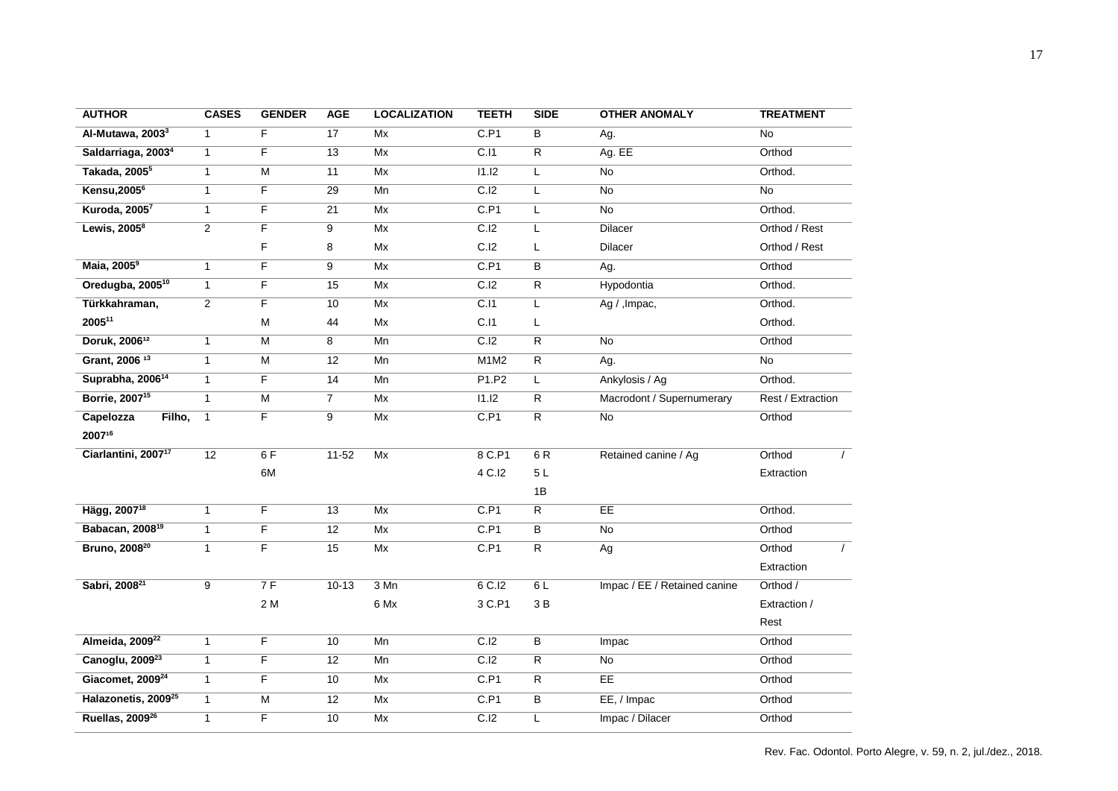| <b>AUTHOR</b>                     | <b>CASES</b>   | <b>GENDER</b>           | <b>AGE</b>      | <b>LOCALIZATION</b> | <b>TEETH</b>      | <b>SIDE</b>    | <b>OTHER ANOMALY</b>         | <b>TREATMENT</b>     |
|-----------------------------------|----------------|-------------------------|-----------------|---------------------|-------------------|----------------|------------------------------|----------------------|
| Al-Mutawa, 2003 <sup>3</sup>      | $\mathbf{1}$   | $\overline{F}$          | 17              | Mx                  | C.P1              | $\overline{B}$ | Ag.                          | N <sub>o</sub>       |
| Saldarriaga, 2003 <sup>4</sup>    | $\mathbf{1}$   | F                       | 13              | Mx                  | C.I1              | $\overline{R}$ | Ag. EE                       | Orthod               |
| Takada, 2005 <sup>5</sup>         | $\mathbf{1}$   | $\overline{M}$          | 11              | Mx                  | 11.12             | L              | $\overline{No}$              | Orthod.              |
| <b>Kensu, 2005<sup>6</sup></b>    | $\mathbf{1}$   | F                       | 29              | Mn                  | C.I2              | L              | No                           | $\overline{No}$      |
| Kuroda, 2005 <sup>7</sup>         | $\mathbf{1}$   | F                       | 21              | Mx                  | C.P1              | L              | No                           | Orthod.              |
| Lewis, $2005^8$                   | $\overline{2}$ | F                       | 9               | Mx                  | C.I2              | L              | <b>Dilacer</b>               | Orthod / Rest        |
|                                   |                | F                       | 8               | Mx                  | C.I2              | L              | <b>Dilacer</b>               | Orthod / Rest        |
| Maia, 2005 <sup>9</sup>           | $\mathbf{1}$   | F                       | 9               | Mx                  | C.P1              | $\overline{B}$ | Ag.                          | Orthod               |
| Oredugba, 2005 <sup>10</sup>      | $\mathbf{1}$   | F                       | 15              | Mx                  | C.I2              | $\overline{R}$ | Hypodontia                   | Orthod.              |
| Türkkahraman,                     | $\overline{2}$ | F                       | 10              | Mx                  | $\overline{C.11}$ | L              | Ag / , Impac,                | Orthod.              |
| 200511                            |                | M                       | 44              | Mx                  | C.I1              | L              |                              | Orthod.              |
| Doruk, 200612                     | $\mathbf{1}$   | $\overline{\mathsf{M}}$ | 8               | Mn                  | C.I2              | $\overline{R}$ | No                           | Orthod               |
| Grant, 2006 <sup>13</sup>         | $\mathbf{1}$   | $\overline{\mathsf{M}}$ | 12              | Mn                  | M1M2              | $\overline{R}$ | Ag.                          | $\overline{No}$      |
| Suprabha, 2006 <sup>14</sup>      | $\mathbf{1}$   | F                       | 14              | Mn                  | P1.P2             | L              | Ankylosis / Ag               | Orthod.              |
| Borrie, 2007 <sup>15</sup>        | $\mathbf{1}$   | $\overline{M}$          | $\overline{7}$  | Mx                  | 11.12             | $\overline{R}$ | Macrodont / Supernumerary    | Rest / Extraction    |
| Capelozza<br>Filho,               | $\mathbf{1}$   | F.                      | 9               | Mx                  | C.P1              | $\overline{R}$ | No                           | Orthod               |
| 200716                            |                |                         |                 |                     |                   |                |                              |                      |
| Ciarlantini, 2007 <sup>17</sup>   | 12             | 6F                      | $11 - 52$       | Mx                  | 8 C.P1            | 6 R            | Retained canine / Ag         | Orthod<br>$\sqrt{2}$ |
|                                   |                | 6M                      |                 |                     | 4 C.I2            | 5L             |                              | Extraction           |
|                                   |                |                         |                 |                     |                   | 1B             |                              |                      |
| Hägg, 2007 <sup>18</sup>          | $\mathbf{1}$   | F                       | $\overline{13}$ | Mx                  | C.P1              | $\overline{R}$ | EE                           | Orthod.              |
| <b>Babacan, 2008<sup>19</sup></b> | $\mathbf{1}$   | F                       | 12              | Mx                  | C.P1              | $\sf B$        | <b>No</b>                    | Orthod               |
| Bruno, 2008 <sup>20</sup>         | $\mathbf{1}$   | F                       | 15              | Mx                  | C.P1              | $\overline{R}$ | Ag                           | Orthod               |
|                                   |                |                         |                 |                     |                   |                |                              | Extraction           |
| Sabri, 2008 <sup>21</sup>         | 9              | 7F                      | $10-13$         | 3 Mn                | $6$ C.I2          | 6 L            | Impac / EE / Retained canine | Orthod /             |
|                                   |                | 2 M                     |                 | 6 Mx                | 3 C.P1            | 3B             |                              | Extraction /         |
|                                   |                |                         |                 |                     |                   |                |                              | Rest                 |
| Almeida, 2009 <sup>22</sup>       | $\mathbf{1}$   | F                       | 10              | Mn                  | C.I2              | B              | Impac                        | Orthod               |
| Canoglu, 2009 <sup>23</sup>       | $\mathbf{1}$   | F                       | 12              | Mn                  | C.I2              | $\overline{R}$ | $\overline{N}$               | Orthod               |
| Giacomet, 2009 <sup>24</sup>      | $\mathbf{1}$   | F                       | 10              | Mx                  | C.P1              | $\overline{R}$ | EE                           | Orthod               |
| Halazonetis, 2009 <sup>25</sup>   | $\mathbf{1}$   | M                       | 12              | Mx                  | C.P1              | В              | EE, / Impac                  | Orthod               |
| Ruellas, 2009 <sup>26</sup>       | $\mathbf{1}$   | F                       | 10              | Mx                  | C.I2              | Г              | Impac / Dilacer              | Orthod               |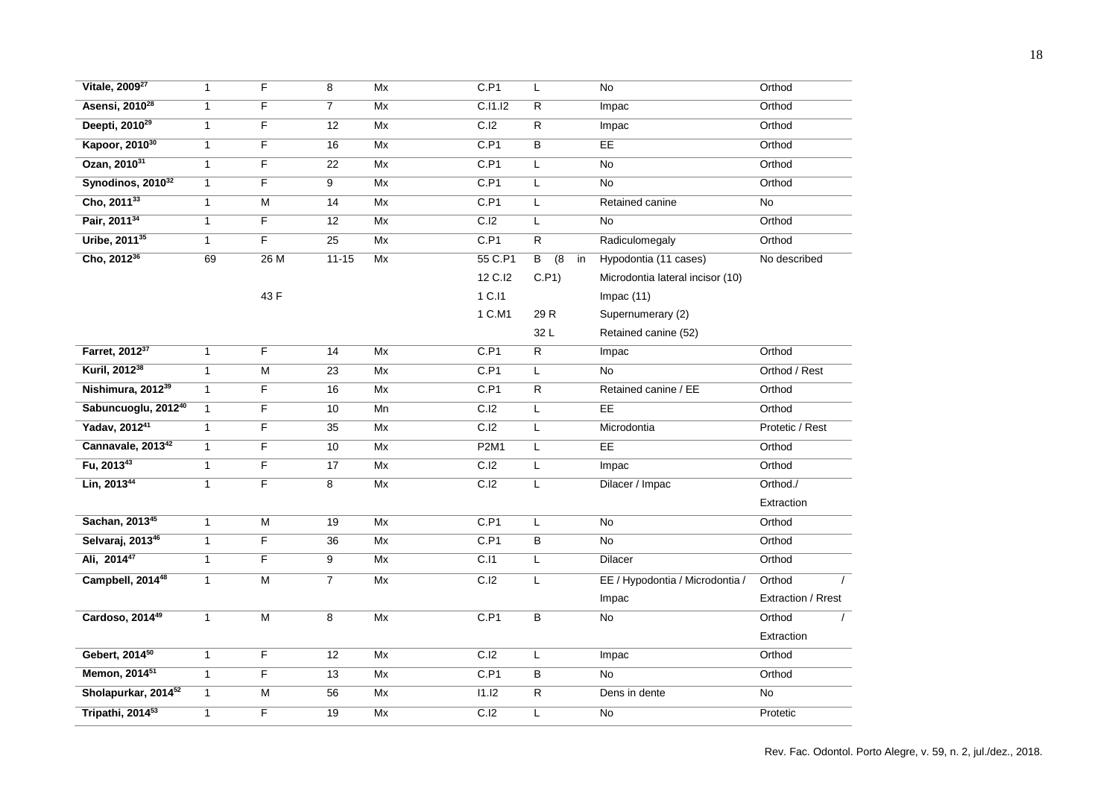| Vitale, 2009 <sup>27</sup>      | $\mathbf{1}$ | F                       | $\overline{8}$  | Mx                       | C.P1              | L                                      | $\overline{No}$                  | Orthod             |
|---------------------------------|--------------|-------------------------|-----------------|--------------------------|-------------------|----------------------------------------|----------------------------------|--------------------|
| Asensi, 2010 <sup>28</sup>      | $\mathbf{1}$ | F                       | $\overline{7}$  | Mx                       | C.I1.I2           | R                                      | Impac                            | Orthod             |
| Deepti, 2010 <sup>29</sup>      | $\mathbf{1}$ | F.                      | 12              | Mx                       | C.I2              | R                                      | Impac                            | Orthod             |
| Kapoor, 2010 <sup>30</sup>      | $\mathbf{1}$ | F                       | 16              | Mx                       | C.P1              | B                                      | EE                               | Orthod             |
| Ozan, 2010 <sup>31</sup>        | $\mathbf{1}$ | F                       | $\overline{22}$ | Mx                       | C.P1              | L                                      | No                               | Orthod             |
| Synodinos, 2010 <sup>32</sup>   | $\mathbf{1}$ | F                       | 9               | Mx                       | C.P1              | L                                      | No                               | Orthod             |
| Cho, 201133                     | $\mathbf{1}$ | М                       | 14              | Mx                       | C.P1              | L                                      | Retained canine                  | $\overline{No}$    |
| Pair, 2011 <sup>34</sup>        | $\mathbf{1}$ | $\overline{F}$          | $\overline{12}$ | Mx                       | C.I2              | Г                                      | $\overline{No}$                  | Orthod             |
| Uribe, 2011 <sup>35</sup>       | $\mathbf{1}$ | F                       | $\overline{25}$ | Mx                       | C.P1              | $\overline{\mathsf{R}}$                | Radiculomegaly                   | Orthod             |
| Cho, 2012 <sup>36</sup>         | 69           | 26M                     | $11 - 15$       | Mx                       | 55 C.P1           | $\overline{8}$<br>$\overline{B}$<br>in | Hypodontia (11 cases)            | No described       |
|                                 |              |                         |                 |                          | 12 C.I2           | C.P1)                                  | Microdontia lateral incisor (10) |                    |
|                                 |              | 43 F                    |                 |                          | 1 C.I1            |                                        | Impac(11)                        |                    |
|                                 |              |                         |                 |                          | 1 C.M1            | 29 R                                   | Supernumerary (2)                |                    |
|                                 |              |                         |                 |                          |                   | 32L                                    | Retained canine (52)             |                    |
| Farret, 2012 <sup>37</sup>      | $\mathbf{1}$ | F                       | 14              | Mx                       | C.P1              | R                                      | Impac                            | Orthod             |
| Kuril, 2012 <sup>38</sup>       | $\mathbf{1}$ | M                       | $\overline{23}$ | Mx                       | C.P1              | L                                      | No                               | Orthod / Rest      |
| Nishimura, 2012 <sup>39</sup>   | $\mathbf{1}$ | F                       | 16              | Mx                       | C.P1              | R                                      | Retained canine / EE             | Orthod             |
| Sabuncuoglu, 2012 <sup>40</sup> | $\mathbf{1}$ | $\overline{F}$          | 10              | Mn                       | C.I2              | Г                                      | E                                | Orthod             |
| Yadav, 2012 <sup>41</sup>       | $\mathbf{1}$ | F                       | $\overline{35}$ | $\overline{\mathsf{Mx}}$ | $\overline{C.I2}$ | Г                                      | Microdontia                      | Protetic / Rest    |
| Cannavale, 2013 <sup>42</sup>   | $\mathbf{1}$ | F                       | 10              | Mx                       | <b>P2M1</b>       | Г                                      | EE                               | Orthod             |
| Fu, 2013 <sup>43</sup>          | $\mathbf{1}$ | F.                      | 17              | Mx                       | C.I2              | L                                      | Impac                            | Orthod             |
| Lin, 201344                     | $\mathbf{1}$ | F                       | 8               | Mx                       | C.I2              | L                                      | Dilacer / Impac                  | Orthod./           |
|                                 |              |                         |                 |                          |                   |                                        |                                  | Extraction         |
| Sachan, 201345                  | $\mathbf{1}$ | $\overline{\mathsf{M}}$ | $\overline{19}$ | Mx                       | C.P1              | L                                      | No                               | Orthod             |
| Selvaraj, 2013 <sup>46</sup>    | $\mathbf{1}$ | F                       | $\overline{36}$ | Mx                       | C.P1              | B                                      | No                               | Orthod             |
| Ali, 2014 <sup>47</sup>         | $\mathbf{1}$ | F                       | 9               | Mx                       | C.11              | L                                      | <b>Dilacer</b>                   | Orthod             |
| Campbell, 2014 <sup>48</sup>    | $\mathbf{1}$ | $\overline{\mathsf{M}}$ | $\overline{7}$  | Mx                       | C.I2              | L                                      | EE / Hypodontia / Microdontia /  | Orthod<br>$\prime$ |
|                                 |              |                         |                 |                          |                   |                                        | Impac                            | Extraction / Rrest |
| Cardoso, 201449                 | $\mathbf{1}$ | M                       | 8               | Mx                       | C.P1              | В                                      | No                               | Orthod<br>$\prime$ |
|                                 |              |                         |                 |                          |                   |                                        |                                  | Extraction         |
| Gebert, 2014 <sup>50</sup>      | $\mathbf{1}$ | F                       | $\overline{12}$ | Mx                       | $\overline{C.I2}$ | L                                      | Impac                            | Orthod             |
| Memon, 2014 <sup>51</sup>       | $\mathbf{1}$ | F                       | $\overline{13}$ | Mx                       | C.P1              | В                                      | No                               | Orthod             |
| Sholapurkar, 2014 <sup>52</sup> | $\mathbf{1}$ | $\overline{\mathsf{M}}$ | 56              | Mx                       | 11.12             | R                                      | Dens in dente                    | $\overline{No}$    |
| Tripathi, 2014 <sup>53</sup>    | $\mathbf{1}$ | F                       | 19              | Mx                       | C.I2              | Г                                      | $\overline{No}$                  | Protetic           |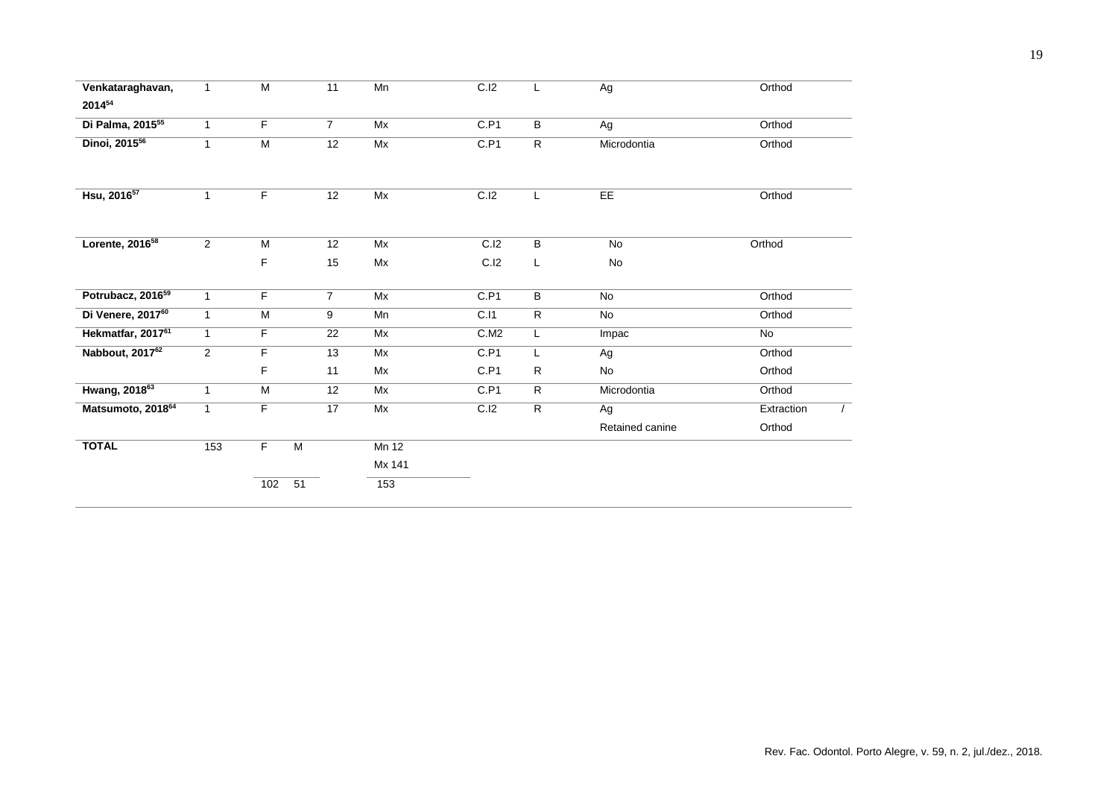| Venkataraghavan,              | $\mathbf{1}$   | M                      | 11              | Mn     | C.I2 | L              | $\overline{Ag}$ | Orthod                 |
|-------------------------------|----------------|------------------------|-----------------|--------|------|----------------|-----------------|------------------------|
| 201454                        |                |                        |                 |        |      |                |                 |                        |
| Di Palma, 2015 <sup>55</sup>  | $\mathbf{1}$   | $\overline{F}$         | $\overline{7}$  | Mx     | C.P1 | $\overline{B}$ | Ag              | Orthod                 |
| Dinoi, 2015 <sup>56</sup>     | 1              | $\overline{M}$         | 12              | Mx     | C.P1 | $\mathsf{R}$   | Microdontia     | Orthod                 |
| Hsu, 2016 <sup>57</sup>       | 1              | F                      | 12              | Mx     | C.I2 | L.             | EE              | Orthod                 |
| Lorente, 2016 <sup>58</sup>   | 2              | M                      | 12              | Mx     | C.I2 | B              | No              | Orthod                 |
|                               |                | F                      | 15              | Mx     | C.I2 | L              | No              |                        |
| Potrubacz, 2016 <sup>59</sup> | $\mathbf{1}$   | F                      | $\overline{7}$  | Mx     | C.P1 | $\overline{B}$ | No              | Orthod                 |
| Di Venere, 2017 <sup>60</sup> | $\mathbf{1}$   | M                      | 9               | Mn     | C.11 | $\mathsf{R}$   | No              | Orthod                 |
| Hekmatfar, 2017 <sup>61</sup> | $\mathbf{1}$   | F                      | $\overline{22}$ | Mx     | C.M2 | L.             | Impac           | No                     |
| Nabbout, 2017 <sup>62</sup>   | $\overline{a}$ | F                      | 13              | Mx     | C.P1 | Г              | Ag              | Orthod                 |
|                               |                | F                      | 11              | Mx     | C.P1 | $\mathsf{R}$   | No              | Orthod                 |
| Hwang, 2018 <sup>63</sup>     | 1              | $\overline{M}$         | 12              | Mx     | C.P1 | $\overline{R}$ | Microdontia     | Orthod                 |
| Matsumoto, 201864             | $\mathbf{1}$   | F                      | 17              | Mx     | C.I2 | $\overline{R}$ | Ag              | Extraction<br>$\prime$ |
|                               |                |                        |                 |        |      |                | Retained canine | Orthod                 |
| <b>TOTAL</b>                  | 153            | F<br>$\overline{M}$    |                 | Mn 12  |      |                |                 |                        |
|                               |                |                        |                 | Mx 141 |      |                |                 |                        |
|                               |                | $\overline{51}$<br>102 |                 | 153    |      |                |                 |                        |
|                               |                |                        |                 |        |      |                |                 |                        |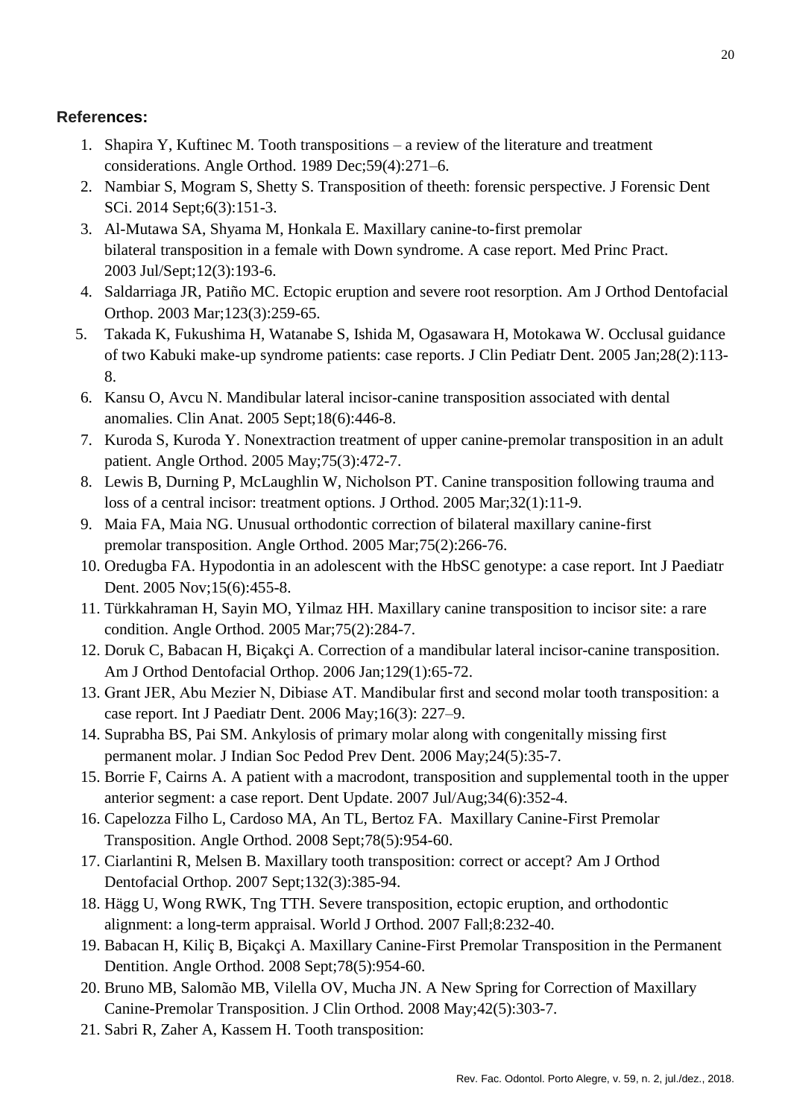# **References:**

- 1. Shapira Y, Kuftinec M. Tooth transpositions a review of the literature and treatment considerations. Angle Orthod. 1989 Dec;59(4):271–6.
- 2. Nambiar S, Mogram S, Shetty S. Transposition of theeth: forensic perspective. J Forensic Dent SCi. 2014 Sept;6(3):151-3.
- 3. [Al-Mutawa](https://www.ncbi.nlm.nih.gov/pubmed/?term=Al-Mutawa%20SA%5BAuthor%5D&cauthor=true&cauthor_uid=12766340) SA, [Shyama M,](https://www.ncbi.nlm.nih.gov/pubmed/?term=Shyama%20M%5BAuthor%5D&cauthor=true&cauthor_uid=12766340) Honkala E. Maxillary canine-to-first premolar bilateral transposition in a female with Down syndrome. A case report. [Med Princ Pract.](https://www.ncbi.nlm.nih.gov/pubmed/?term=al-mutawa+tooth+transposition+2003) 2003 Jul/Sept;12(3):193-6.
- 4. [Saldarriaga](https://www.ncbi.nlm.nih.gov/pubmed/?term=Saldarriaga%20JR%5BAuthor%5D&cauthor=true&cauthor_uid=12637898) JR, Patiño MC. Ectopic eruption and severe root resorption. [Am J Orthod Dentofacial](https://www.ncbi.nlm.nih.gov/pubmed/?term=saldarriaga+tooth+transposition+2003)  [Orthop.](https://www.ncbi.nlm.nih.gov/pubmed/?term=saldarriaga+tooth+transposition+2003) 2003 Mar;123(3):259-65.
- 5. [Takada K,](https://www.ncbi.nlm.nih.gov/pubmed/?term=Takada%20K%5BAuthor%5D&cauthor=true&cauthor_uid=14969368) [Fukushima H,](https://www.ncbi.nlm.nih.gov/pubmed/?term=Fukushima%20H%5BAuthor%5D&cauthor=true&cauthor_uid=14969368) [Watanabe S,](https://www.ncbi.nlm.nih.gov/pubmed/?term=Watanabe%20S%5BAuthor%5D&cauthor=true&cauthor_uid=14969368) [Ishida M,](https://www.ncbi.nlm.nih.gov/pubmed/?term=Ishida%20M%5BAuthor%5D&cauthor=true&cauthor_uid=14969368) [Ogasawara H,](https://www.ncbi.nlm.nih.gov/pubmed/?term=Ogasawara%20H%5BAuthor%5D&cauthor=true&cauthor_uid=14969368) [Motokawa W.](https://www.ncbi.nlm.nih.gov/pubmed/?term=Motokawa%20W%5BAuthor%5D&cauthor=true&cauthor_uid=14969368) Occlusal guidance of two Kabuki make-up syndrome patients: case reports. [J Clin Pediatr Dent.](https://www.ncbi.nlm.nih.gov/pubmed/14969368) 2005 Jan;28(2):113- 8.
- 6. [Kansu](https://www.ncbi.nlm.nih.gov/pubmed/?term=Kansu%20O%5BAuthor%5D&cauthor=true&cauthor_uid=16015651) O, [Avcu N.](https://www.ncbi.nlm.nih.gov/pubmed/?term=Avcu%20N%5BAuthor%5D&cauthor=true&cauthor_uid=16015651) Mandibular lateral incisor-canine transposition associated with dental anomalies. [Clin Anat.](https://www.ncbi.nlm.nih.gov/pubmed/?term=kensu+tooth+transposition+2005) 2005 Sept;18(6):446-8.
- 7. [Kuroda](https://www.ncbi.nlm.nih.gov/pubmed/?term=Kuroda%20S%5BAuthor%5D&cauthor=true&cauthor_uid=15898391) S, [Kuroda](https://www.ncbi.nlm.nih.gov/pubmed/?term=Kuroda%20Y%5BAuthor%5D&cauthor=true&cauthor_uid=15898391) Y. Nonextraction treatment of upper canine-premolar transposition in an adult patient. [Angle Orthod.](https://www.ncbi.nlm.nih.gov/pubmed/?term=kuroda+tooth+transposition+2005) 2005 May;75(3):472-7.
- 8. [Lewis](https://www.ncbi.nlm.nih.gov/pubmed/?term=Lewis%20B%5BAuthor%5D&cauthor=true&cauthor_uid=15784937) B, [Durning P,](https://www.ncbi.nlm.nih.gov/pubmed/?term=Durning%20P%5BAuthor%5D&cauthor=true&cauthor_uid=15784937) [McLaughlin W,](https://www.ncbi.nlm.nih.gov/pubmed/?term=McLaughlin%20W%5BAuthor%5D&cauthor=true&cauthor_uid=15784937) [Nicholson PT.](https://www.ncbi.nlm.nih.gov/pubmed/?term=Nicholson%20PT%5BAuthor%5D&cauthor=true&cauthor_uid=15784937) Canine transposition following trauma and loss of a central incisor: treatment options. [J Orthod.](https://www.ncbi.nlm.nih.gov/pubmed/?term=lewistooth+transposition+2005) 2005 Mar;32(1):11-9.
- 9. [Maia](https://www.ncbi.nlm.nih.gov/pubmed/?term=Maia%20FA%5BAuthor%5D&cauthor=true&cauthor_uid=15825794) FA, [Maia](https://www.ncbi.nlm.nih.gov/pubmed/?term=Maia%20NG%5BAuthor%5D&cauthor=true&cauthor_uid=15825794) NG. Unusual orthodontic correction of bilateral maxillary canine-first premolar transposition. [Angle Orthod.](https://www.ncbi.nlm.nih.gov/pubmed/?term=maia+tooth+transposition+2005) 2005 Mar;75(2):266-76.
- 10. [Oredugba](https://www.ncbi.nlm.nih.gov/pubmed/?term=Oredugba%20FA%5BAuthor%5D&cauthor=true&cauthor_uid=16238656) FA. Hypodontia in an adolescent with the HbSC genotype: a case report. [Int J Paediatr](https://www.ncbi.nlm.nih.gov/pubmed/?term=oredugba+tooth+transposition+2005)  [Dent.](https://www.ncbi.nlm.nih.gov/pubmed/?term=oredugba+tooth+transposition+2005) 2005 Nov;15(6):455-8.
- 11. [Türkkahraman H,](https://www.ncbi.nlm.nih.gov/pubmed/?term=T%C3%BCrkkahraman%20H%5BAuthor%5D&cauthor=true&cauthor_uid=15825796) [Sayin MO,](https://www.ncbi.nlm.nih.gov/pubmed/?term=Sayin%20MO%5BAuthor%5D&cauthor=true&cauthor_uid=15825796) [Yilmaz HH.](https://www.ncbi.nlm.nih.gov/pubmed/?term=Yilmaz%20HH%5BAuthor%5D&cauthor=true&cauthor_uid=15825796) Maxillary canine transposition to incisor site: a rare condition. [Angle Orthod.](https://www.ncbi.nlm.nih.gov/pubmed/15825796) 2005 Mar;75(2):284-7.
- 12. Doruk C, Babacan H, Biçakçi A. Correction of a mandibular lateral incisor-canine transposition. Am J Orthod Dentofacial Orthop. 2006 Jan;129(1):65-72.
- 13. Grant JER, Abu Mezier N, Dibiase AT. Mandibular first and second molar tooth transposition: a case report. Int J Paediatr Dent. 2006 May;16(3): 227–9.
- 14. [Suprabha](https://www.ncbi.nlm.nih.gov/pubmed/?term=Suprabha%20BS%5BAuthor%5D&cauthor=true&cauthor_uid=16891750) BS, [Pai SM.](https://www.ncbi.nlm.nih.gov/pubmed/?term=Pai%20SM%5BAuthor%5D&cauthor=true&cauthor_uid=16891750) Ankylosis of primary molar along with congenitally missing first permanent molar. [J Indian Soc Pedod Prev Dent.](https://www.ncbi.nlm.nih.gov/pubmed/?term=Suprabha+tooth+transposotion+2006) 2006 May;24(5):35-7.
- 15. [Borrie](https://www.ncbi.nlm.nih.gov/pubmed/?term=Borrie%20F%5BAuthor%5D&cauthor=true&cauthor_uid=17784584) F, [Cairns A.](https://www.ncbi.nlm.nih.gov/pubmed/?term=Cairns%20A%5BAuthor%5D&cauthor=true&cauthor_uid=17784584) A patient with a macrodont, transposition and supplemental tooth in the upper anterior segment: a case report. [Dent Update.](https://www.ncbi.nlm.nih.gov/pubmed/?term=borrie+tooth+transposotion+2007) 2007 Jul/Aug;34(6):352-4.
- 16. Capelozza Filho L, Cardoso MA, An TL, Bertoz FA. Maxillary Canine-First Premolar Transposition. Angle Orthod. 2008 Sept;78(5):954-60.
- 17. [Ciarlantini](https://www.ncbi.nlm.nih.gov/pubmed/?term=Ciarlantini%20R%5BAuthor%5D&cauthor=true&cauthor_uid=17826609) R, [Melsen B.](https://www.ncbi.nlm.nih.gov/pubmed/?term=Melsen%20B%5BAuthor%5D&cauthor=true&cauthor_uid=17826609) Maxillary tooth transposition: correct or accept? [Am J Orthod](https://www.ncbi.nlm.nih.gov/pubmed/?term=ciarlantini+tooth+transposotion+2007)  [Dentofacial Orthop.](https://www.ncbi.nlm.nih.gov/pubmed/?term=ciarlantini+tooth+transposotion+2007) 2007 Sept;132(3):385-94.
- 18. Hägg U, Wong RWK, Tng TTH. Severe transposition, ectopic eruption, and orthodontic alignment: a long-term appraisal. World J Orthod. 2007 Fall;8:232-40.
- 19. Babacan H, Kiliç B, Biçakçi A. Maxillary Canine-First Premolar Transposition in the Permanent Dentition. Angle Orthod. 2008 Sept;78(5):954-60.
- 20. Bruno MB, Salomão MB, Vilella OV, Mucha JN. A New Spring for Correction of Maxillary Canine-Premolar Transposition. J Clin Orthod. 2008 May;42(5):303-7.
- 21. Sabri R, Zaher A, Kassem H. Tooth transposition: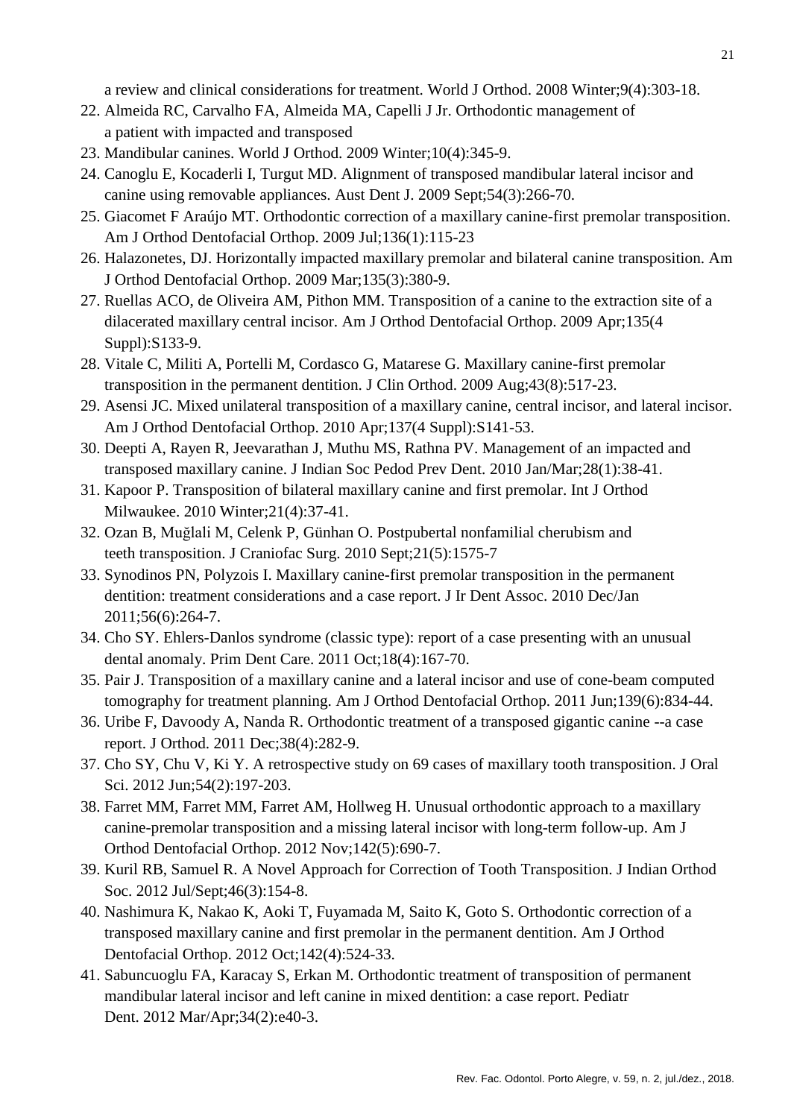a review and clinical considerations for treatment. World J Orthod. 2008 Winter;9(4):303-18.

- 22. Almeida RC, Carvalho FA, Almeida MA, Capelli J Jr. Orthodontic management of a patient with impacted and transposed
- 23. Mandibular canines. World J Orthod. 2009 Winter;10(4):345-9.
- 24. Canoglu E, Kocaderli I, Turgut MD. Alignment of transposed mandibular lateral incisor and canine using removable appliances. Aust Dent J. 2009 Sept;54(3):266-70.
- 25. Giacomet F Araújo MT. Orthodontic correction of a maxillary canine-first premolar transposition. Am J Orthod Dentofacial Orthop. 2009 Jul;136(1):115-23
- 26. Halazonetes, DJ. Horizontally impacted maxillary premolar and bilateral canine transposition. Am J Orthod Dentofacial Orthop. 2009 Mar;135(3):380-9.
- 27. Ruellas ACO, de Oliveira AM, Pithon MM. Transposition of a canine to the extraction site of a dilacerated maxillary central incisor. Am J Orthod Dentofacial Orthop. 2009 Apr;135(4 Suppl):S133-9.
- 28. Vitale C, Militi A, Portelli M, Cordasco G, Matarese G. Maxillary canine-first premolar transposition in the permanent dentition. J Clin Orthod. 2009 Aug;43(8):517-23.
- 29. Asensi JC. Mixed unilateral transposition of a maxillary canine, central incisor, and lateral incisor. Am J Orthod Dentofacial Orthop. 2010 Apr;137(4 Suppl):S141-53.
- 30. Deepti A, Rayen R, Jeevarathan J, Muthu MS, Rathna PV. Management of an impacted and transposed maxillary canine. J Indian Soc Pedod Prev Dent. 2010 Jan/Mar;28(1):38-41.
- 31. Kapoor P. Transposition of bilateral maxillary canine and first premolar. Int J Orthod Milwaukee. 2010 Winter;21(4):37-41.
- 32. Ozan B, Muğlali M, Celenk P, Günhan O. Postpubertal nonfamilial cherubism and teeth transposition. J Craniofac Surg. 2010 Sept;21(5):1575-7
- 33. Synodinos PN, Polyzois I. Maxillary canine-first premolar transposition in the permanent dentition: treatment considerations and a case report. J Ir Dent Assoc. 2010 Dec/Jan 2011;56(6):264-7.
- 34. [Cho](https://www.ncbi.nlm.nih.gov/pubmed/?term=Cho%20SY%5BAuthor%5D&cauthor=true&cauthor_uid=21968044) SY. Ehlers-Danlos syndrome (classic type): report of a case presenting with an unusual dental anomaly. [Prim Dent Care.](https://www.ncbi.nlm.nih.gov/pubmed/?term=cho+tooth+transposotion+2011) 2011 Oct;18(4):167-70.
- 35. Pair J. Transposition of a maxillary canine and a lateral incisor and use of cone-beam computed tomography for treatment planning. Am J Orthod Dentofacial Orthop. 2011 Jun;139(6):834-44.
- 36. Uribe F, Davoody A, Nanda R. Orthodontic treatment of a transposed gigantic canine --a case report. J Orthod. 2011 Dec;38(4):282-9.
- 37. Cho SY, Chu V, Ki Y. A retrospective study on 69 cases of maxillary tooth transposition. J Oral Sci. 2012 Jun;54(2):197-203.
- 38. Farret MM, Farret MM, Farret AM, Hollweg H. Unusual orthodontic approach to a maxillary canine-premolar transposition and a missing lateral incisor with long-term follow-up. Am J Orthod Dentofacial Orthop. 2012 Nov;142(5):690-7.
- 39. Kuril RB, Samuel R. A Novel Approach for Correction of Tooth Transposition. J Indian Orthod Soc. 2012 Jul/Sept;46(3):154-8.
- 40. Nashimura K, Nakao K, Aoki T, Fuyamada M, Saito K, Goto S. Orthodontic correction of a transposed maxillary canine and first premolar in the permanent dentition. Am J Orthod Dentofacial Orthop. 2012 Oct;142(4):524-33.
- 41. Sabuncuoglu FA, Karacay S, Erkan M. Orthodontic treatment of transposition of permanent mandibular lateral incisor and left canine in mixed dentition: a case report. Pediatr Dent. 2012 Mar/Apr;34(2):e40-3.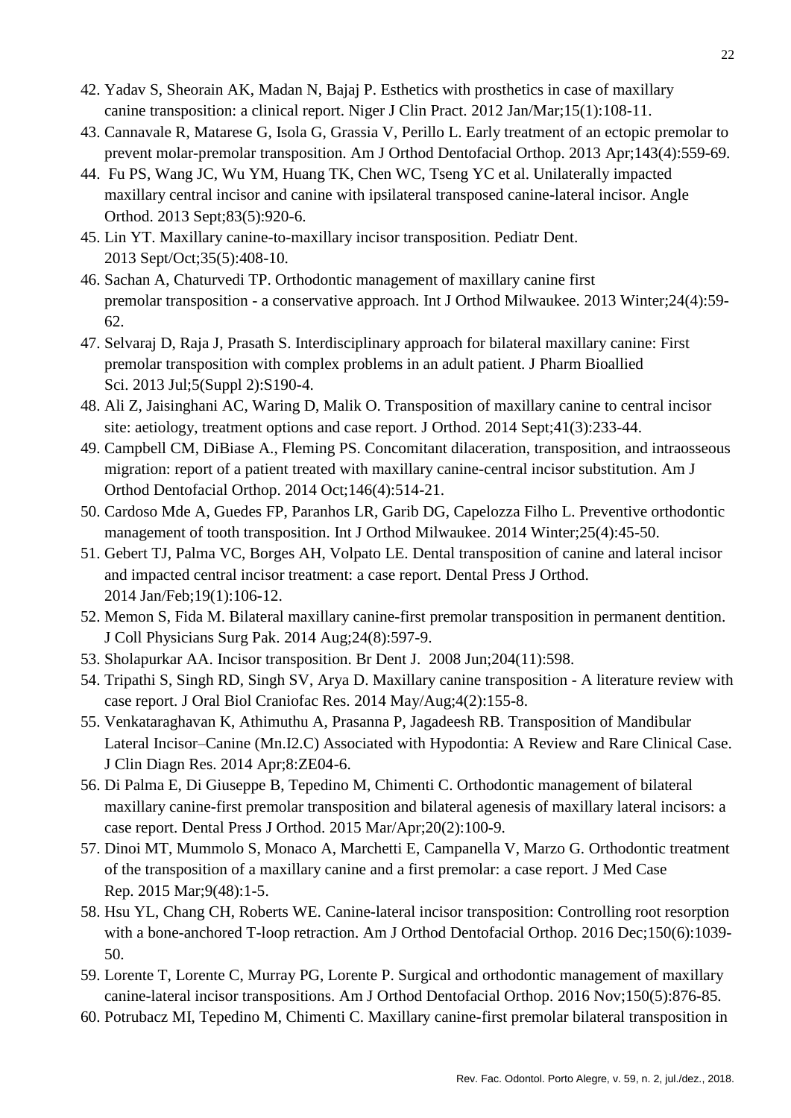- 42. Yadav S, Sheorain AK, Madan N, Bajaj P. Esthetics with prosthetics in case of maxillary canine transposition: a clinical report. Niger J Clin Pract. 2012 Jan/Mar;15(1):108-11.
- 43. Cannavale R, Matarese G, Isola G, Grassia V, Perillo L. Early treatment of an ectopic premolar to prevent molar-premolar transposition. Am J Orthod Dentofacial Orthop. 2013 Apr;143(4):559-69.
- 44. Fu PS, Wang JC, Wu YM, Huang TK, Chen WC, Tseng YC et al. Unilaterally impacted maxillary central incisor and canine with ipsilateral transposed canine-lateral incisor. Angle Orthod. 2013 Sept;83(5):920-6.
- 45. Lin YT. Maxillary canine-to-maxillary incisor transposition. Pediatr Dent. 2013 Sept/Oct;35(5):408-10.
- 46. Sachan A, Chaturvedi TP. Orthodontic management of maxillary canine first premolar transposition - a conservative approach. Int J Orthod Milwaukee. 2013 Winter;24(4):59- 62.
- 47. Selvaraj D, Raja J, Prasath S. Interdisciplinary approach for bilateral maxillary canine: First premolar transposition with complex problems in an adult patient. J Pharm Bioallied Sci. 2013 Jul;5(Suppl 2):S190-4.
- 48. Ali Z, Jaisinghani AC, Waring D, Malik O. Transposition of maxillary canine to central incisor site: aetiology, treatment options and case report. J Orthod. 2014 Sept;41(3):233-44.
- 49. Campbell CM, DiBiase A., Fleming PS. Concomitant dilaceration, transposition, and intraosseous migration: report of a patient treated with maxillary canine-central incisor substitution. Am J Orthod Dentofacial Orthop. 2014 Oct;146(4):514-21.
- 50. Cardoso Mde A, Guedes FP, Paranhos LR, Garib DG, Capelozza Filho L. Preventive orthodontic management of tooth transposition. Int J Orthod Milwaukee. 2014 Winter;25(4):45-50.
- 51. Gebert TJ, Palma VC, Borges AH, Volpato LE. Dental transposition of canine and lateral incisor and impacted central incisor treatment: a case report. Dental Press J Orthod. 2014 Jan/Feb;19(1):106-12.
- 52. Memon S, Fida M. Bilateral maxillary canine-first premolar transposition in permanent dentition. J Coll Physicians Surg Pak. 2014 Aug;24(8):597-9.
- 53. Sholapurkar AA. Incisor transposition. Br Dent J. 2008 Jun;204(11):598.
- 54. Tripathi S, Singh RD, Singh SV, Arya D. Maxillary canine transposition A literature review with case report. J Oral Biol Craniofac Res. 2014 May/Aug;4(2):155-8.
- 55. Venkataraghavan K, Athimuthu A, Prasanna P, Jagadeesh RB. Transposition of Mandibular Lateral Incisor–Canine (Mn.I2.C) Associated with Hypodontia: A Review and Rare Clinical Case. J Clin Diagn Res. 2014 Apr;8:ZE04-6.
- 56. Di Palma E, Di Giuseppe B, Tepedino M, Chimenti C. Orthodontic management of bilateral maxillary canine-first premolar transposition and bilateral agenesis of maxillary lateral incisors: a case report. Dental Press J Orthod. 2015 Mar/Apr;20(2):100-9.
- 57. Dinoi MT, Mummolo S, Monaco A, Marchetti E, Campanella V, Marzo G. Orthodontic treatment of the transposition of a maxillary canine and a first premolar: a case report. J Med Case Rep. 2015 Mar;9(48):1-5.
- 58. Hsu YL, Chang CH, Roberts WE. Canine-lateral incisor transposition: Controlling root resorption with a bone-anchored T-loop retraction. Am J Orthod Dentofacial Orthop. 2016 Dec;150(6):1039-50.
- 59. Lorente T, Lorente C, Murray PG, Lorente P. Surgical and orthodontic management of maxillary canine-lateral incisor transpositions. Am J Orthod Dentofacial Orthop. 2016 Nov;150(5):876-85.
- 60. Potrubacz MI, Tepedino M, Chimenti C. Maxillary canine-first premolar bilateral transposition in